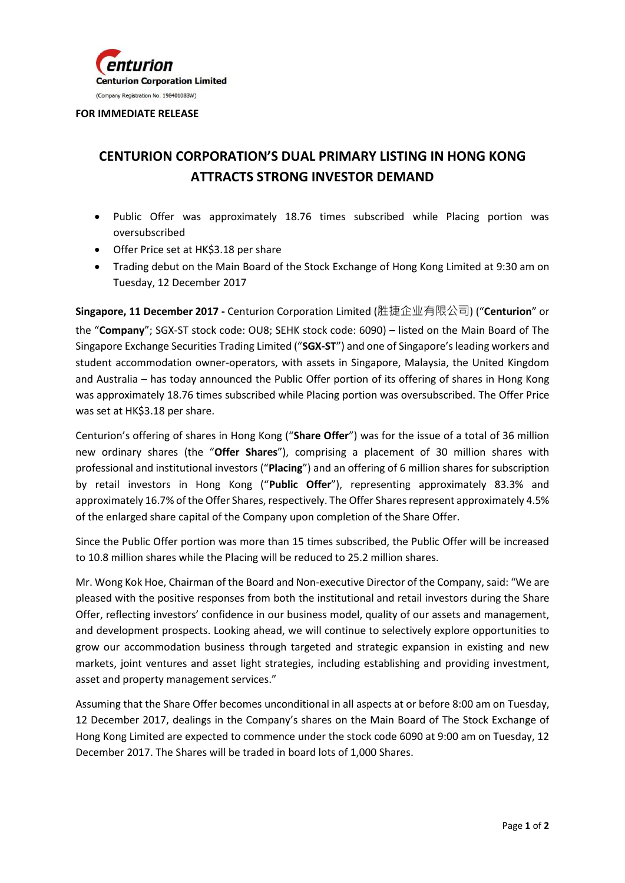

## **FOR IMMEDIATE RELEASE**

## **CENTURION CORPORATION'S DUAL PRIMARY LISTING IN HONG KONG ATTRACTS STRONG INVESTOR DEMAND**

- Public Offer was approximately 18.76 times subscribed while Placing portion was oversubscribed
- Offer Price set at HK\$3.18 per share
- Trading debut on the Main Board of the Stock Exchange of Hong Kong Limited at 9:30 am on Tuesday, 12 December 2017

**Singapore, 11 December 2017 -** Centurion Corporation Limited (胜捷企业有限公司) ("**Centurion**" or the "**Company**"; SGX-ST stock code: OU8; SEHK stock code: 6090) – listed on the Main Board of The Singapore Exchange Securities Trading Limited ("**SGX-ST**") and one of Singapore's leading workers and student accommodation owner-operators, with assets in Singapore, Malaysia, the United Kingdom and Australia – has today announced the Public Offer portion of its offering of shares in Hong Kong was approximately 18.76 times subscribed while Placing portion was oversubscribed. The Offer Price was set at HK\$3.18 per share.

Centurion's offering of shares in Hong Kong ("**Share Offer**") was for the issue of a total of 36 million new ordinary shares (the "**Offer Shares**"), comprising a placement of 30 million shares with professional and institutional investors ("**Placing**") and an offering of 6 million shares for subscription by retail investors in Hong Kong ("**Public Offer**"), representing approximately 83.3% and approximately 16.7% of the Offer Shares, respectively. The Offer Shares represent approximately 4.5% of the enlarged share capital of the Company upon completion of the Share Offer.

Since the Public Offer portion was more than 15 times subscribed, the Public Offer will be increased to 10.8 million shares while the Placing will be reduced to 25.2 million shares.

Mr. Wong Kok Hoe, Chairman of the Board and Non-executive Director of the Company, said: "We are pleased with the positive responses from both the institutional and retail investors during the Share Offer, reflecting investors' confidence in our business model, quality of our assets and management, and development prospects. Looking ahead, we will continue to selectively explore opportunities to grow our accommodation business through targeted and strategic expansion in existing and new markets, joint ventures and asset light strategies, including establishing and providing investment, asset and property management services."

Assuming that the Share Offer becomes unconditional in all aspects at or before 8:00 am on Tuesday, 12 December 2017, dealings in the Company's shares on the Main Board of The Stock Exchange of Hong Kong Limited are expected to commence under the stock code 6090 at 9:00 am on Tuesday, 12 December 2017. The Shares will be traded in board lots of 1,000 Shares.